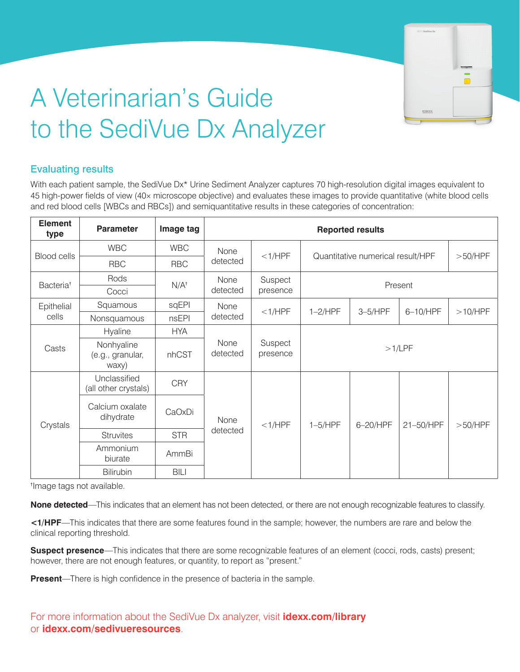

# A Veterinarian's Guide to the SediVue Dx Analyzer

## Evaluating results

With each patient sample, the SediVue Dx\* Urine Sediment Analyzer captures 70 high-resolution digital images equivalent to 45 high-power fields of view (40× microscope objective) and evaluates these images to provide quantitative (white blood cells and red blood cells [WBCs and RBCs]) and semiquantitative results in these categories of concentration:

| <b>Element</b><br>type | <b>Parameter</b>                        | Image tag  | <b>Reported results</b> |                               |                                   |           |           |         |
|------------------------|-----------------------------------------|------------|-------------------------|-------------------------------|-----------------------------------|-----------|-----------|---------|
| <b>Blood cells</b>     | <b>WBC</b>                              | <b>WBC</b> | None                    | $<$ 1/HPF                     | Quantitative numerical result/HPF |           |           | >50/HPF |
|                        | <b>RBC</b>                              | <b>RBC</b> | detected                |                               |                                   |           |           |         |
| Bacteria <sup>t</sup>  | Rods                                    | $N/A^+$    | None<br>detected        | Suspect                       | Present                           |           |           |         |
|                        | Cocci                                   |            |                         | presence                      |                                   |           |           |         |
| Epithelial<br>cells    | Squamous                                | sqEPI      | None<br>detected        | $<$ 1/HPF                     | $1-2$ /HPF                        | $3-5/HPF$ | 6-10/HPF  | >10/HPF |
|                        | Nonsquamous                             | nsEPI      |                         |                               |                                   |           |           |         |
| Casts                  | Hyaline                                 | <b>HYA</b> |                         |                               |                                   |           |           |         |
|                        | Nonhyaline<br>(e.g., granular,<br>waxy) | nhCST      | None<br>detected        | Suspect<br>>1/LPF<br>presence |                                   |           |           |         |
| Crystals               | Unclassified<br>(all other crystals)    | <b>CRY</b> | None<br>detected        | $<$ 1/HPF                     | $1-5/HPF$                         | 6-20/HPF  | 21-50/HPF | >50/HPF |
|                        | Calcium oxalate<br>dihydrate            | CaOxDi     |                         |                               |                                   |           |           |         |
|                        | <b>Struvites</b>                        | <b>STR</b> |                         |                               |                                   |           |           |         |
|                        | Ammonium<br>biurate                     | AmmBi      |                         |                               |                                   |           |           |         |
|                        | Bilirubin                               | BILI       |                         |                               |                                   |           |           |         |

<sup>t</sup>Image tags not available.

None detected—This indicates that an element has not been detected, or there are not enough recognizable features to classify.

<1/HPF—This indicates that there are some features found in the sample; however, the numbers are rare and below the List, and then select Imaging > Image Request. clinical reporting threshold.

**Example: Presence** This image that there are series recegnizable readily however, there are not enough features, or quantity, to report as "present." **Suspect presence**—This indicates that there are some recognizable features of an element (cocci, rods, casts) present;

**Present**—There is high confidence in the presence of bacteria in the sample.

For more information about the SediVue Dx analyzer, visit **idexx.com/library** or **idexx.com/sedivueresources**.